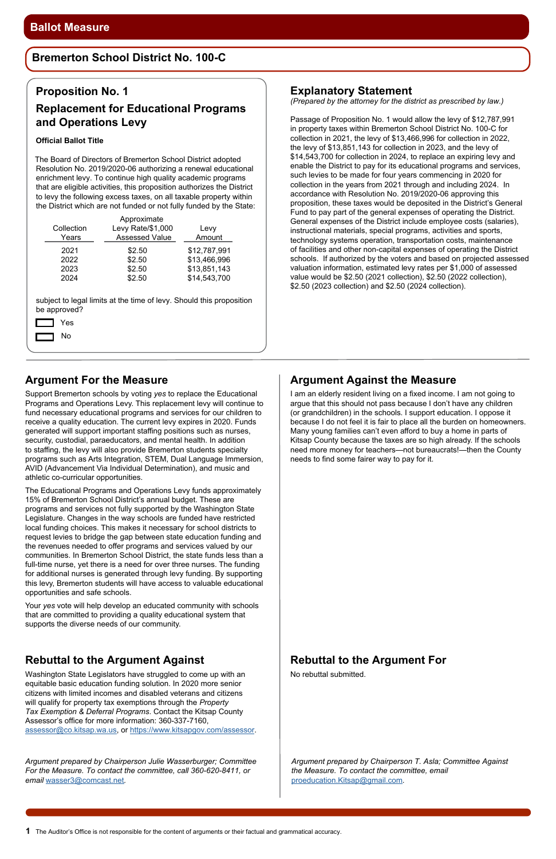**1** The Auditor's Office is not responsible for the content of arguments or their factual and grammatical accuracy.

# **Argument For the Measure**

Support Bremerton schools by voting *yes* to replace the Educational Programs and Operations Levy. This replacement levy will continue to fund necessary educational programs and services for our children to receive a quality education. The current levy expires in 2020. Funds generated will support important staffing positions such as nurses, security, custodial, paraeducators, and mental health. In addition to staffing, the levy will also provide Bremerton students specialty programs such as Arts Integration, STEM, Dual Language Immersion, AVID (Advancement Via Individual Determination), and music and athletic co-curricular opportunities.

The Educational Programs and Operations Levy funds approximately 15% of Bremerton School District's annual budget. These are programs and services not fully supported by the Washington State Legislature. Changes in the way schools are funded have restricted local funding choices. This makes it necessary for school districts to request levies to bridge the gap between state education funding and the revenues needed to offer programs and services valued by our communities. In Bremerton School District, the state funds less than a full-time nurse, yet there is a need for over three nurses. The funding for additional nurses is generated through levy funding. By supporting this levy, Bremerton students will have access to valuable educational opportunities and safe schools.

Your *yes* vote will help develop an educated community with schools that are committed to providing a quality educational system that supports the diverse needs of our community.

#### **Rebuttal to the Argument Against**

Washington State Legislators have struggled to come up with an equitable basic education funding solution. In 2020 more senior citizens with limited incomes and disabled veterans and citizens will qualify for property tax exemptions through the *Property Tax Exemption & Deferral Programs*. Contact the Kitsap County Assessor's office for more information: 360-337-7160, [assessor@co.kitsap.wa.us](mailto:assessor%40co.kitsap.wa.us?subject=), or [https://www.kitsapgov.com/assessor.](https://www.kitsapgov.com/assessor)

# **Rebuttal to the Argument For**

No rebuttal submitted.

#### **Proposition No. 1**

### **Replacement for Educational Programs and Operations Levy**

#### **Official Ballot Title**

The Board of Directors of Bremerton School District adopted Resolution No. 2019/2020-06 authorizing a renewal educational enrichment levy. To continue high quality academic programs that are eligible activities, this proposition authorizes the District to levy the following excess taxes, on all taxable property within the District which are not funded or not fully funded by the State:

| Collection | Levy Rate/\$1,000     | Levy         |
|------------|-----------------------|--------------|
| Years      | <b>Assessed Value</b> | Amount       |
| 2021       | \$2.50                | \$12,787,991 |
| 2022       | \$2.50                | \$13,466,996 |
| 2023       | \$2.50                | \$13,851,143 |
| 2024       | \$2.50                | \$14,543,700 |

subject to legal limits at the time of levy. Should this proposition be approved?

> Yes No

*Argument prepared by Chairperson Julie Wasserburger; Committee For the Measure. To contact the committee, call 360-620-8411, or email* [wasser3@comcast.net](mailto:wasser3%40comcast.net?subject=)*.* 

# **Argument Against the Measure**

I am an elderly resident living on a fixed income. I am not going to argue that this should not pass because I don't have any children (or grandchildren) in the schools. I support education. I oppose it because I do not feel it is fair to place all the burden on homeowners. Many young families can't even afford to buy a home in parts of Kitsap County because the taxes are so high already. If the schools need more money for teachers—not bureaucrats!—then the County needs to find some fairer way to pay for it.

# **Bremerton School District No. 100-C**

#### **Explanatory Statement**

*(Prepared by the attorney for the district as prescribed by law.)*

Passage of Proposition No. 1 would allow the levy of \$12,787,991 in property taxes within Bremerton School District No. 100-C for collection in 2021, the levy of \$13,466,996 for collection in 2022, the levy of \$13,851,143 for collection in 2023, and the levy of \$14,543,700 for collection in 2024, to replace an expiring levy and enable the District to pay for its educational programs and services, such levies to be made for four years commencing in 2020 for collection in the years from 2021 through and including 2024. In accordance with Resolution No. 2019/2020-06 approving this proposition, these taxes would be deposited in the District's General Fund to pay part of the general expenses of operating the District. General expenses of the District include employee costs (salaries), instructional materials, special programs, activities and sports, technology systems operation, transportation costs, maintenance of facilities and other non-capital expenses of operating the District schools. If authorized by the voters and based on projected assessed valuation information, estimated levy rates per \$1,000 of assessed value would be \$2.50 (2021 collection), \$2.50 (2022 collection), \$2.50 (2023 collection) and \$2.50 (2024 collection).

*Argument prepared by Chairperson T. Asla; Committee Against the Measure. To contact the committee, email*  [proeducation.Kitsap@gmail.com](mailto:proeducation.Kitsap@gmail.com)*.*